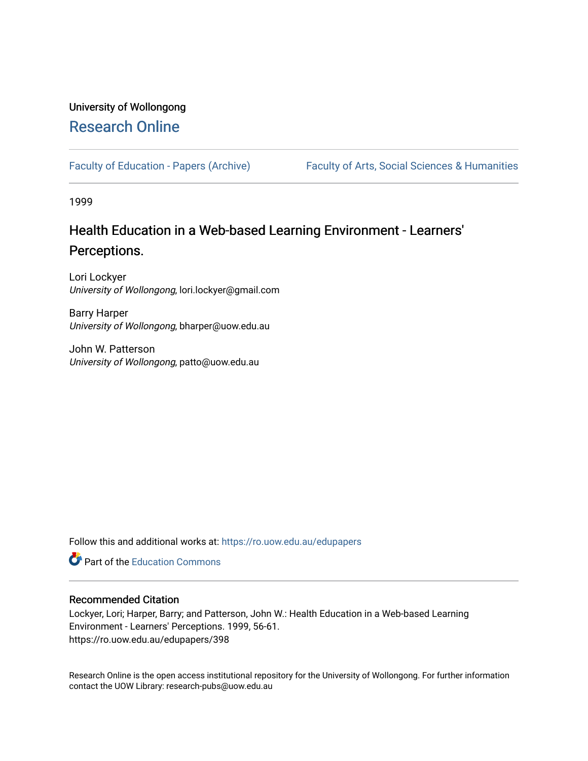## University of Wollongong [Research Online](https://ro.uow.edu.au/)

[Faculty of Education - Papers \(Archive\)](https://ro.uow.edu.au/edupapers) Faculty of Arts, Social Sciences & Humanities

1999

# Health Education in a Web-based Learning Environment - Learners' Perceptions.

Lori Lockyer University of Wollongong, lori.lockyer@gmail.com

Barry Harper University of Wollongong, bharper@uow.edu.au

John W. Patterson University of Wollongong, patto@uow.edu.au

Follow this and additional works at: [https://ro.uow.edu.au/edupapers](https://ro.uow.edu.au/edupapers?utm_source=ro.uow.edu.au%2Fedupapers%2F398&utm_medium=PDF&utm_campaign=PDFCoverPages) 

Part of the [Education Commons](http://network.bepress.com/hgg/discipline/784?utm_source=ro.uow.edu.au%2Fedupapers%2F398&utm_medium=PDF&utm_campaign=PDFCoverPages)

#### Recommended Citation

Lockyer, Lori; Harper, Barry; and Patterson, John W.: Health Education in a Web-based Learning Environment - Learners' Perceptions. 1999, 56-61. https://ro.uow.edu.au/edupapers/398

Research Online is the open access institutional repository for the University of Wollongong. For further information contact the UOW Library: research-pubs@uow.edu.au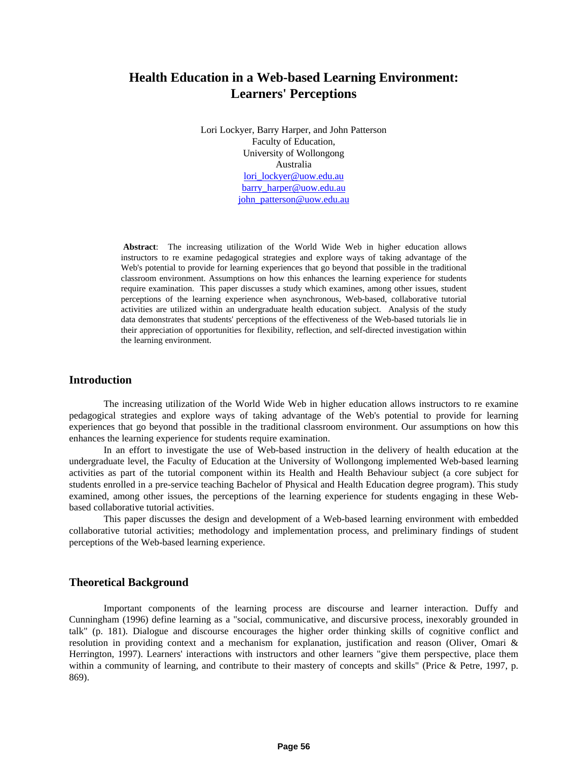### **Health Education in a Web-based Learning Environment: Learners' Perceptions**

Lori Lockyer, Barry Harper, and John Patterson Faculty of Education, University of Wollongong Australia lori\_lockyer@uow.edu.au barry\_harper@uow.edu.au john\_patterson@uow.edu.au

**Abstract**: The increasing utilization of the World Wide Web in higher education allows instructors to re examine pedagogical strategies and explore ways of taking advantage of the Web's potential to provide for learning experiences that go beyond that possible in the traditional classroom environment. Assumptions on how this enhances the learning experience for students require examination. This paper discusses a study which examines, among other issues, student perceptions of the learning experience when asynchronous, Web-based, collaborative tutorial activities are utilized within an undergraduate health education subject. Analysis of the study data demonstrates that students' perceptions of the effectiveness of the Web-based tutorials lie in their appreciation of opportunities for flexibility, reflection, and self-directed investigation within the learning environment.

#### **Introduction**

The increasing utilization of the World Wide Web in higher education allows instructors to re examine pedagogical strategies and explore ways of taking advantage of the Web's potential to provide for learning experiences that go beyond that possible in the traditional classroom environment. Our assumptions on how this enhances the learning experience for students require examination.

In an effort to investigate the use of Web-based instruction in the delivery of health education at the undergraduate level, the Faculty of Education at the University of Wollongong implemented Web-based learning activities as part of the tutorial component within its Health and Health Behaviour subject (a core subject for students enrolled in a pre-service teaching Bachelor of Physical and Health Education degree program). This study examined, among other issues, the perceptions of the learning experience for students engaging in these Webbased collaborative tutorial activities.

This paper discusses the design and development of a Web-based learning environment with embedded collaborative tutorial activities; methodology and implementation process, and preliminary findings of student perceptions of the Web-based learning experience.

#### **Theoretical Background**

Important components of the learning process are discourse and learner interaction. Duffy and Cunningham (1996) define learning as a "social, communicative, and discursive process, inexorably grounded in talk" (p. 181). Dialogue and discourse encourages the higher order thinking skills of cognitive conflict and resolution in providing context and a mechanism for explanation, justification and reason (Oliver, Omari & Herrington, 1997). Learners' interactions with instructors and other learners "give them perspective, place them within a community of learning, and contribute to their mastery of concepts and skills" (Price & Petre, 1997, p. 869).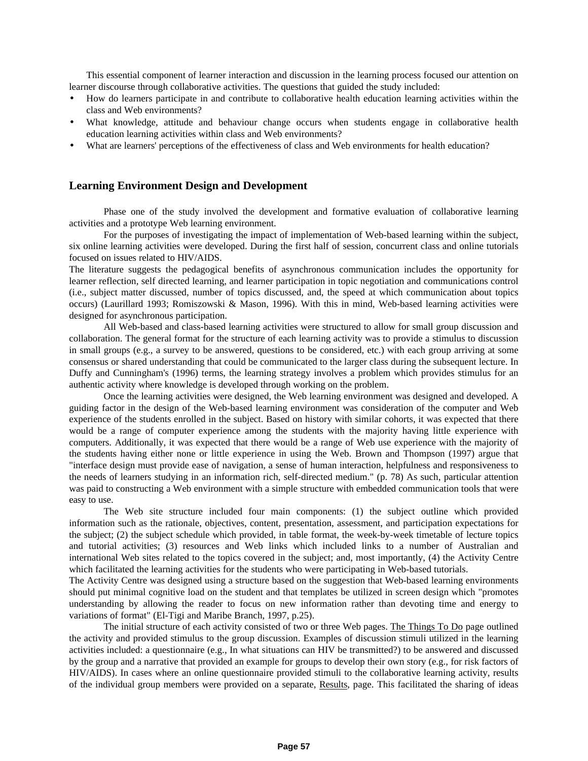This essential component of learner interaction and discussion in the learning process focused our attention on learner discourse through collaborative activities. The questions that guided the study included:

- How do learners participate in and contribute to collaborative health education learning activities within the class and Web environments?
- What knowledge, attitude and behaviour change occurs when students engage in collaborative health education learning activities within class and Web environments?
- What are learners' perceptions of the effectiveness of class and Web environments for health education?

#### **Learning Environment Design and Development**

Phase one of the study involved the development and formative evaluation of collaborative learning activities and a prototype Web learning environment.

For the purposes of investigating the impact of implementation of Web-based learning within the subject, six online learning activities were developed. During the first half of session, concurrent class and online tutorials focused on issues related to HIV/AIDS.

The literature suggests the pedagogical benefits of asynchronous communication includes the opportunity for learner reflection, self directed learning, and learner participation in topic negotiation and communications control (i.e., subject matter discussed, number of topics discussed, and, the speed at which communication about topics occurs) (Laurillard 1993; Romiszowski & Mason, 1996). With this in mind, Web-based learning activities were designed for asynchronous participation.

All Web-based and class-based learning activities were structured to allow for small group discussion and collaboration. The general format for the structure of each learning activity was to provide a stimulus to discussion in small groups (e.g., a survey to be answered, questions to be considered, etc.) with each group arriving at some consensus or shared understanding that could be communicated to the larger class during the subsequent lecture. In Duffy and Cunningham's (1996) terms, the learning strategy involves a problem which provides stimulus for an authentic activity where knowledge is developed through working on the problem.

Once the learning activities were designed, the Web learning environment was designed and developed. A guiding factor in the design of the Web-based learning environment was consideration of the computer and Web experience of the students enrolled in the subject. Based on history with similar cohorts, it was expected that there would be a range of computer experience among the students with the majority having little experience with computers. Additionally, it was expected that there would be a range of Web use experience with the majority of the students having either none or little experience in using the Web. Brown and Thompson (1997) argue that "interface design must provide ease of navigation, a sense of human interaction, helpfulness and responsiveness to the needs of learners studying in an information rich, self-directed medium." (p. 78) As such, particular attention was paid to constructing a Web environment with a simple structure with embedded communication tools that were easy to use.

The Web site structure included four main components: (1) the subject outline which provided information such as the rationale, objectives, content, presentation, assessment, and participation expectations for the subject; (2) the subject schedule which provided, in table format, the week-by-week timetable of lecture topics and tutorial activities; (3) resources and Web links which included links to a number of Australian and international Web sites related to the topics covered in the subject; and, most importantly, (4) the Activity Centre which facilitated the learning activities for the students who were participating in Web-based tutorials.

The Activity Centre was designed using a structure based on the suggestion that Web-based learning environments should put minimal cognitive load on the student and that templates be utilized in screen design which "promotes understanding by allowing the reader to focus on new information rather than devoting time and energy to variations of format" (El-Tigi and Maribe Branch, 1997, p.25).

The initial structure of each activity consisted of two or three Web pages. The Things To Do page outlined the activity and provided stimulus to the group discussion. Examples of discussion stimuli utilized in the learning activities included: a questionnaire (e.g., In what situations can HIV be transmitted?) to be answered and discussed by the group and a narrative that provided an example for groups to develop their own story (e.g., for risk factors of HIV/AIDS). In cases where an online questionnaire provided stimuli to the collaborative learning activity, results of the individual group members were provided on a separate, Results, page. This facilitated the sharing of ideas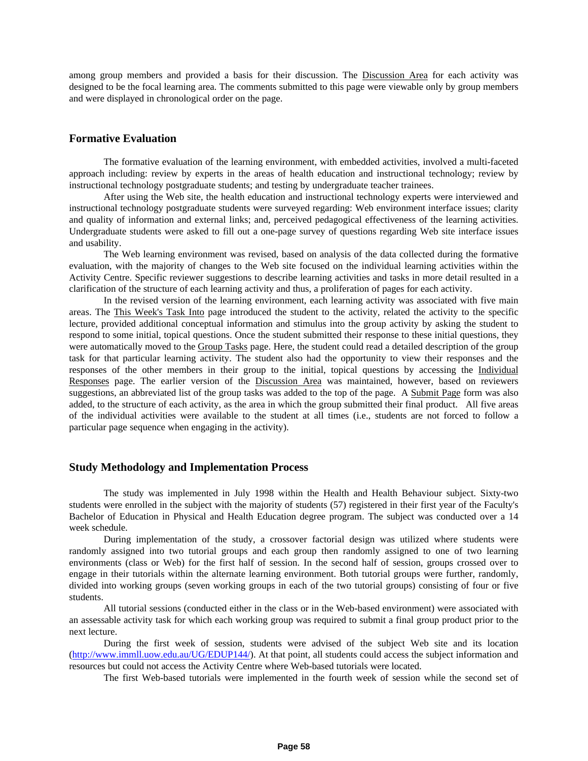among group members and provided a basis for their discussion. The Discussion Area for each activity was designed to be the focal learning area. The comments submitted to this page were viewable only by group members and were displayed in chronological order on the page.

#### **Formative Evaluation**

The formative evaluation of the learning environment, with embedded activities, involved a multi-faceted approach including: review by experts in the areas of health education and instructional technology; review by instructional technology postgraduate students; and testing by undergraduate teacher trainees.

After using the Web site, the health education and instructional technology experts were interviewed and instructional technology postgraduate students were surveyed regarding: Web environment interface issues; clarity and quality of information and external links; and, perceived pedagogical effectiveness of the learning activities. Undergraduate students were asked to fill out a one-page survey of questions regarding Web site interface issues and usability.

The Web learning environment was revised, based on analysis of the data collected during the formative evaluation, with the majority of changes to the Web site focused on the individual learning activities within the Activity Centre. Specific reviewer suggestions to describe learning activities and tasks in more detail resulted in a clarification of the structure of each learning activity and thus, a proliferation of pages for each activity.

In the revised version of the learning environment, each learning activity was associated with five main areas. The This Week's Task Into page introduced the student to the activity, related the activity to the specific lecture, provided additional conceptual information and stimulus into the group activity by asking the student to respond to some initial, topical questions. Once the student submitted their response to these initial questions, they were automatically moved to the Group Tasks page. Here, the student could read a detailed description of the group task for that particular learning activity. The student also had the opportunity to view their responses and the responses of the other members in their group to the initial, topical questions by accessing the Individual Responses page. The earlier version of the Discussion Area was maintained, however, based on reviewers suggestions, an abbreviated list of the group tasks was added to the top of the page. A Submit Page form was also added, to the structure of each activity, as the area in which the group submitted their final product. All five areas of the individual activities were available to the student at all times (i.e., students are not forced to follow a particular page sequence when engaging in the activity).

#### **Study Methodology and Implementation Process**

The study was implemented in July 1998 within the Health and Health Behaviour subject. Sixty-two students were enrolled in the subject with the majority of students (57) registered in their first year of the Faculty's Bachelor of Education in Physical and Health Education degree program. The subject was conducted over a 14 week schedule.

During implementation of the study, a crossover factorial design was utilized where students were randomly assigned into two tutorial groups and each group then randomly assigned to one of two learning environments (class or Web) for the first half of session. In the second half of session, groups crossed over to engage in their tutorials within the alternate learning environment. Both tutorial groups were further, randomly, divided into working groups (seven working groups in each of the two tutorial groups) consisting of four or five students.

All tutorial sessions (conducted either in the class or in the Web-based environment) were associated with an assessable activity task for which each working group was required to submit a final group product prior to the next lecture.

During the first week of session, students were advised of the subject Web site and its location (http://www.immll.uow.edu.au/UG/EDUP144/). At that point, all students could access the subject information and resources but could not access the Activity Centre where Web-based tutorials were located.

The first Web-based tutorials were implemented in the fourth week of session while the second set of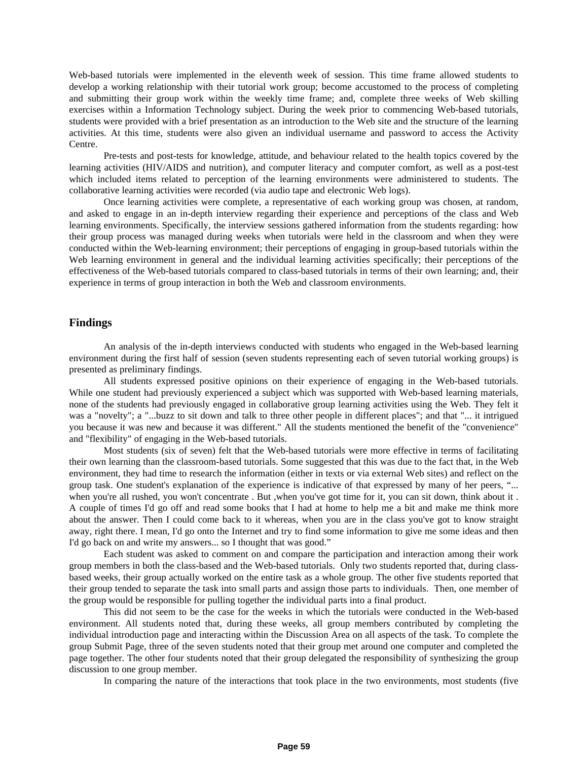Web-based tutorials were implemented in the eleventh week of session. This time frame allowed students to develop a working relationship with their tutorial work group; become accustomed to the process of completing and submitting their group work within the weekly time frame; and, complete three weeks of Web skilling exercises within a Information Technology subject. During the week prior to commencing Web-based tutorials, students were provided with a brief presentation as an introduction to the Web site and the structure of the learning activities. At this time, students were also given an individual username and password to access the Activity Centre.

Pre-tests and post-tests for knowledge, attitude, and behaviour related to the health topics covered by the learning activities (HIV/AIDS and nutrition), and computer literacy and computer comfort, as well as a post-test which included items related to perception of the learning environments were administered to students. The collaborative learning activities were recorded (via audio tape and electronic Web logs).

Once learning activities were complete, a representative of each working group was chosen, at random, and asked to engage in an in-depth interview regarding their experience and perceptions of the class and Web learning environments. Specifically, the interview sessions gathered information from the students regarding: how their group process was managed during weeks when tutorials were held in the classroom and when they were conducted within the Web-learning environment; their perceptions of engaging in group-based tutorials within the Web learning environment in general and the individual learning activities specifically; their perceptions of the effectiveness of the Web-based tutorials compared to class-based tutorials in terms of their own learning; and, their experience in terms of group interaction in both the Web and classroom environments.

#### **Findings**

An analysis of the in-depth interviews conducted with students who engaged in the Web-based learning environment during the first half of session (seven students representing each of seven tutorial working groups) is presented as preliminary findings.

All students expressed positive opinions on their experience of engaging in the Web-based tutorials. While one student had previously experienced a subject which was supported with Web-based learning materials, none of the students had previously engaged in collaborative group learning activities using the Web. They felt it was a "novelty"; a "...buzz to sit down and talk to three other people in different places"; and that "... it intrigued you because it was new and because it was different." All the students mentioned the benefit of the "convenience" and "flexibility" of engaging in the Web-based tutorials.

Most students (six of seven) felt that the Web-based tutorials were more effective in terms of facilitating their own learning than the classroom-based tutorials. Some suggested that this was due to the fact that, in the Web environment, they had time to research the information (either in texts or via external Web sites) and reflect on the group task. One student's explanation of the experience is indicative of that expressed by many of her peers, "... when you're all rushed, you won't concentrate . But ,when you've got time for it, you can sit down, think about it . A couple of times I'd go off and read some books that I had at home to help me a bit and make me think more about the answer. Then I could come back to it whereas, when you are in the class you've got to know straight away, right there. I mean, I'd go onto the Internet and try to find some information to give me some ideas and then I'd go back on and write my answers... so I thought that was good."

Each student was asked to comment on and compare the participation and interaction among their work group members in both the class-based and the Web-based tutorials. Only two students reported that, during classbased weeks, their group actually worked on the entire task as a whole group. The other five students reported that their group tended to separate the task into small parts and assign those parts to individuals. Then, one member of the group would be responsible for pulling together the individual parts into a final product.

This did not seem to be the case for the weeks in which the tutorials were conducted in the Web-based environment. All students noted that, during these weeks, all group members contributed by completing the individual introduction page and interacting within the Discussion Area on all aspects of the task. To complete the group Submit Page, three of the seven students noted that their group met around one computer and completed the page together. The other four students noted that their group delegated the responsibility of synthesizing the group discussion to one group member.

In comparing the nature of the interactions that took place in the two environments, most students (five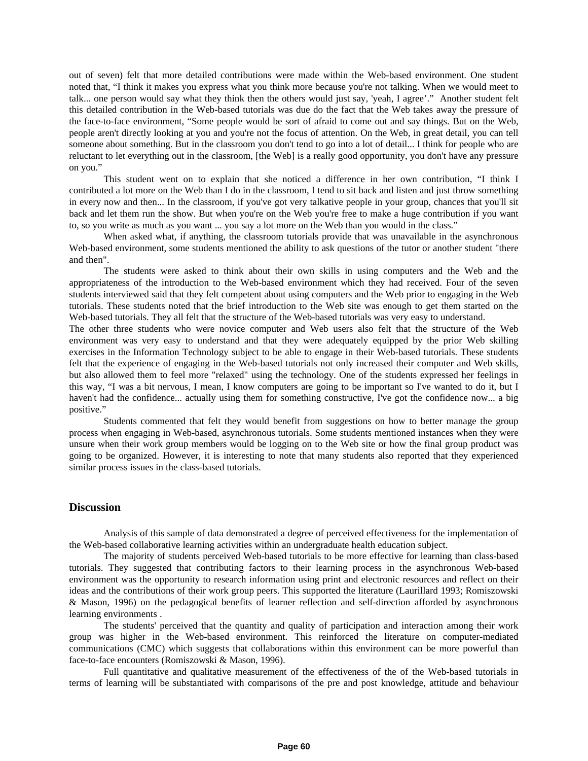out of seven) felt that more detailed contributions were made within the Web-based environment. One student noted that, "I think it makes you express what you think more because you're not talking. When we would meet to talk... one person would say what they think then the others would just say, 'yeah, I agree'." Another student felt this detailed contribution in the Web-based tutorials was due do the fact that the Web takes away the pressure of the face-to-face environment, "Some people would be sort of afraid to come out and say things. But on the Web, people aren't directly looking at you and you're not the focus of attention. On the Web, in great detail, you can tell someone about something. But in the classroom you don't tend to go into a lot of detail... I think for people who are reluctant to let everything out in the classroom, [the Web] is a really good opportunity, you don't have any pressure on you."

This student went on to explain that she noticed a difference in her own contribution, "I think I contributed a lot more on the Web than I do in the classroom, I tend to sit back and listen and just throw something in every now and then... In the classroom, if you've got very talkative people in your group, chances that you'll sit back and let them run the show. But when you're on the Web you're free to make a huge contribution if you want to, so you write as much as you want ... you say a lot more on the Web than you would in the class."

When asked what, if anything, the classroom tutorials provide that was unavailable in the asynchronous Web-based environment, some students mentioned the ability to ask questions of the tutor or another student "there and then".

The students were asked to think about their own skills in using computers and the Web and the appropriateness of the introduction to the Web-based environment which they had received. Four of the seven students interviewed said that they felt competent about using computers and the Web prior to engaging in the Web tutorials. These students noted that the brief introduction to the Web site was enough to get them started on the Web-based tutorials. They all felt that the structure of the Web-based tutorials was very easy to understand.

The other three students who were novice computer and Web users also felt that the structure of the Web environment was very easy to understand and that they were adequately equipped by the prior Web skilling exercises in the Information Technology subject to be able to engage in their Web-based tutorials. These students felt that the experience of engaging in the Web-based tutorials not only increased their computer and Web skills, but also allowed them to feel more "relaxed" using the technology. One of the students expressed her feelings in this way, "I was a bit nervous, I mean, I know computers are going to be important so I've wanted to do it, but I haven't had the confidence... actually using them for something constructive, I've got the confidence now... a big positive."

Students commented that felt they would benefit from suggestions on how to better manage the group process when engaging in Web-based, asynchronous tutorials. Some students mentioned instances when they were unsure when their work group members would be logging on to the Web site or how the final group product was going to be organized. However, it is interesting to note that many students also reported that they experienced similar process issues in the class-based tutorials.

#### **Discussion**

Analysis of this sample of data demonstrated a degree of perceived effectiveness for the implementation of the Web-based collaborative learning activities within an undergraduate health education subject.

The majority of students perceived Web-based tutorials to be more effective for learning than class-based tutorials. They suggested that contributing factors to their learning process in the asynchronous Web-based environment was the opportunity to research information using print and electronic resources and reflect on their ideas and the contributions of their work group peers. This supported the literature (Laurillard 1993; Romiszowski & Mason, 1996) on the pedagogical benefits of learner reflection and self-direction afforded by asynchronous learning environments .

The students' perceived that the quantity and quality of participation and interaction among their work group was higher in the Web-based environment. This reinforced the literature on computer-mediated communications (CMC) which suggests that collaborations within this environment can be more powerful than face-to-face encounters (Romiszowski & Mason, 1996).

Full quantitative and qualitative measurement of the effectiveness of the of the Web-based tutorials in terms of learning will be substantiated with comparisons of the pre and post knowledge, attitude and behaviour